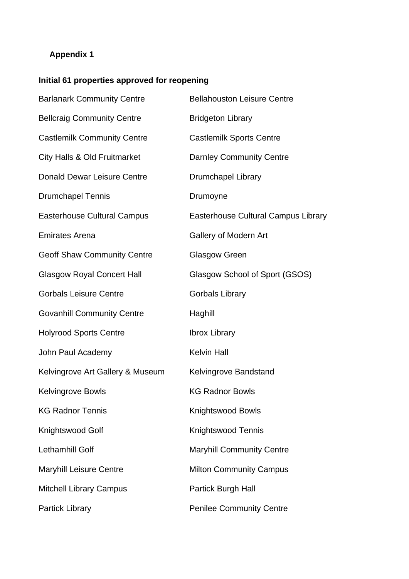## **Appendix 1**

## **Initial 61 properties approved for reopening**

| <b>Barlanark Community Centre</b>       | <b>Bellahouston Leisure Centre</b>         |
|-----------------------------------------|--------------------------------------------|
| <b>Bellcraig Community Centre</b>       | <b>Bridgeton Library</b>                   |
| <b>Castlemilk Community Centre</b>      | <b>Castlemilk Sports Centre</b>            |
| <b>City Halls &amp; Old Fruitmarket</b> | <b>Darnley Community Centre</b>            |
| <b>Donald Dewar Leisure Centre</b>      | <b>Drumchapel Library</b>                  |
| <b>Drumchapel Tennis</b>                | Drumoyne                                   |
| <b>Easterhouse Cultural Campus</b>      | <b>Easterhouse Cultural Campus Library</b> |
| <b>Emirates Arena</b>                   | <b>Gallery of Modern Art</b>               |
| <b>Geoff Shaw Community Centre</b>      | <b>Glasgow Green</b>                       |
| <b>Glasgow Royal Concert Hall</b>       | Glasgow School of Sport (GSOS)             |
| <b>Gorbals Leisure Centre</b>           | <b>Gorbals Library</b>                     |
| <b>Govanhill Community Centre</b>       | Haghill                                    |
| <b>Holyrood Sports Centre</b>           | <b>Ibrox Library</b>                       |
| John Paul Academy                       | <b>Kelvin Hall</b>                         |
| Kelvingrove Art Gallery & Museum        | Kelvingrove Bandstand                      |
| <b>Kelvingrove Bowls</b>                | <b>KG Radnor Bowls</b>                     |
| <b>KG Radnor Tennis</b>                 | Knightswood Bowls                          |
| Knightswood Golf                        | <b>Knightswood Tennis</b>                  |
| Lethamhill Golf                         | <b>Maryhill Community Centre</b>           |
| <b>Maryhill Leisure Centre</b>          | <b>Milton Community Campus</b>             |
| <b>Mitchell Library Campus</b>          | Partick Burgh Hall                         |
| <b>Partick Library</b>                  | <b>Penilee Community Centre</b>            |